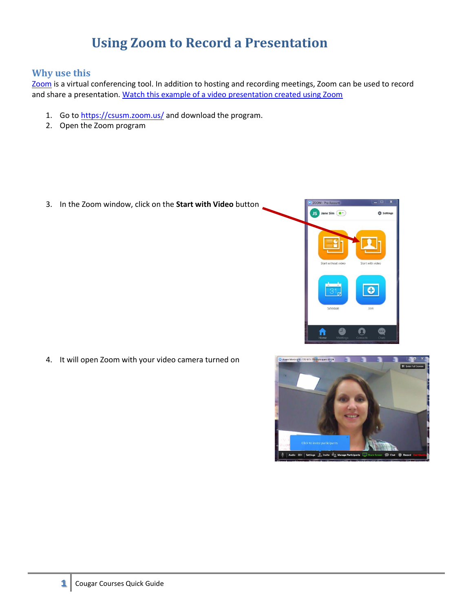## **Using Zoom to Record a Presentation**

## **Why use this**

[Zoom](https://csusm.zoom.us/) is a virtual conferencing tool. In addition to hosting and recording meetings, Zoom can be used to record and share a presentation. [Watch this example of a video presentation created using Zoom](https://youtu.be/NU87xEL1PUs) 

- 1. Go to [https://csusm.zoom.us/](http://zoom.csusm.edu/) and download the program.
- 2. Open the Zoom program

3. In the Zoom window, click on the **Start with Video** button



4. It will open Zoom with your video camera turned on

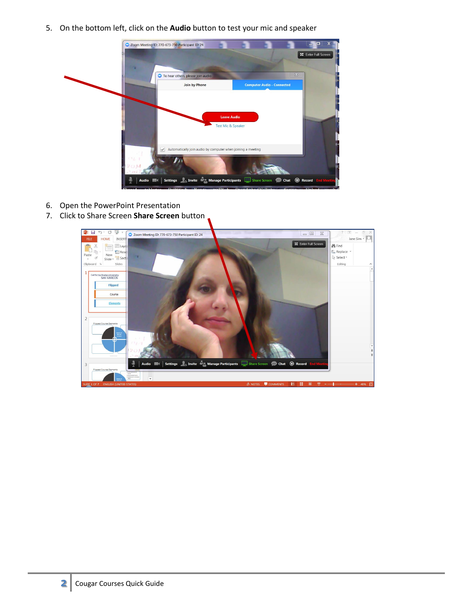5. On the bottom left, click on the **Audio** button to test your mic and speaker



- 6. Open the PowerPoint Presentation
- 7. Click to Share Screen **Share Screen** button

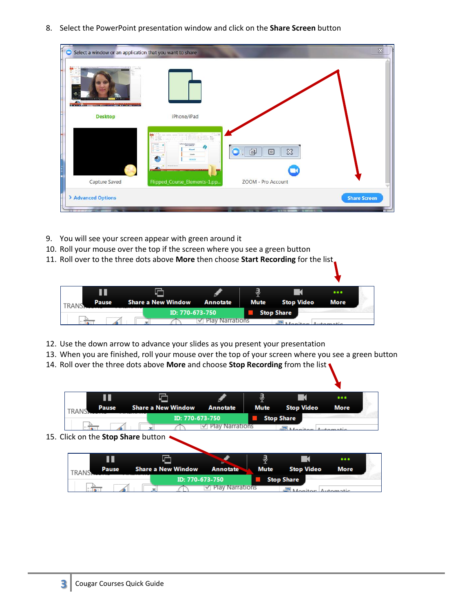8. Select the PowerPoint presentation window and click on the **Share Screen** button

| $\cdots$<br><b>Street Administration when the acceptance of the</b>                                                                                                                                      |                     |
|----------------------------------------------------------------------------------------------------------------------------------------------------------------------------------------------------------|---------------------|
|                                                                                                                                                                                                          |                     |
| iPhone/iPad<br><b>Desktop</b>                                                                                                                                                                            |                     |
| cannon assets control note and<br>E<br>THE R. P. LEWIS CO., LANSING.<br>÷.<br>11 World<br>FITE RAIN HORS<br><b>Affirms that a location</b><br>卣<br><b>Flipped</b><br>$\infty$<br>▣<br>Course<br>(lewern) |                     |
| Flipped_Course_Elements-1.pp<br>Capture Saved<br>ZOOM - Pro Account                                                                                                                                      |                     |
| > Advanced Options                                                                                                                                                                                       | <b>Share Screen</b> |

- 9. You will see your screen appear with green around it
- 10. Roll your mouse over the top if the screen where you see a green button
- 11. Roll over to the three dots above **More** then choose **Start Recording** for the list

|       |       |  |                             |                   |                   | $-0.0.0$ |  |
|-------|-------|--|-----------------------------|-------------------|-------------------|----------|--|
| TRANK | Pause |  | Share a New Window Annotate |                   | Mute Stop Video   | More     |  |
|       |       |  | ID: 770-673-750             |                   | <b>Stop Share</b> |          |  |
|       |       |  |                             | √ Play Narrations |                   |          |  |

- 12. Use the down arrow to advance your slides as you present your presentation
- 13. When you are finished, roll your mouse over the top of your screen where you see a green button
- 14. Roll over the three dots above **More** and choose **Stop Recording** from the list

|                                    |                    |                 | J    |                   |      |  |
|------------------------------------|--------------------|-----------------|------|-------------------|------|--|
| Pause<br><b>TRANC</b>              | Share a New Window | Annotate        | Mute | <b>Stop Video</b> | More |  |
|                                    | ID: 770-673-750    |                 |      | <b>Stop Share</b> |      |  |
|                                    |                    | Play Narrations |      |                   |      |  |
| 15. Click on the Stop Share button |                    |                 |      |                   |      |  |

Ш G ą  $\blacksquare$ ... Pause **Share a New Window Annotate Mute Stop Video More** TRANS ID: 770-673-750 **Stop Share**  $\frac{4}{3}$ **Play Narrations**